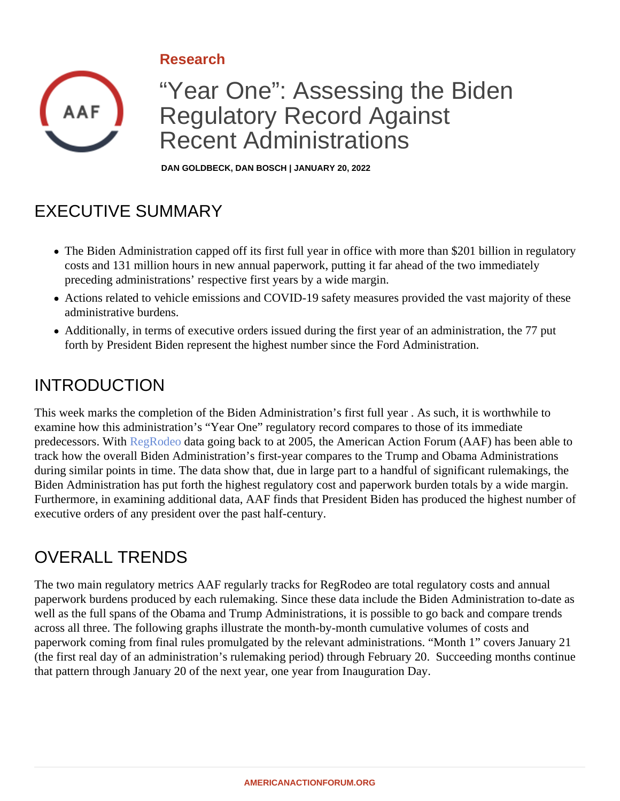#### Research

# "Year One": Assessing the Biden Regulatory Record Against Recent Administrations

DAN GOLDBECK, DAN BOSCH | JANUARY 20, 2022

# EXECUTIVE SUMMARY

- The Biden Administration capped off its first full year in office with more than \$201 billion in regulatory costs and 131 million hours in new annual paperwork, putting it far ahead of the two immediately preceding administrations' respective first years by a wide margin.
- Actions related to vehicle emissions and COVID-19 safety measures provided the vast majority of these administrative burdens.
- Additionally, in terms of executive orders issued during the first year of an administration, the 77 put forth by President Biden represent the highest number since the Ford Administration.

### INTRODUCTION

This week marks the completion of the Biden Administration's first full year . As such, it is worthwhile to examine how this administration's "Year One" regulatory record compares to those of its immediate predecessors.Wit**RegRode** data going back to at 2005, the American Action Forum (AAF) has been able to track how the overall Biden Administration's first-year compares to the Trump and Obama Administrations during similar points in time. The data show that, due in large part to a handful of significant rulemakings, the Biden Administration has put forth the highest regulatory cost and paperwork burden totals by a wide margin. Furthermore, in examining additional data, AAF finds that President Biden has produced the highest number executive orders of any president over the past half-century.

# OVERALL TRENDS

The two main regulatory metrics AAF regularly tracks for RegRodeo are total regulatory costs and annual paperwork burdens produced by each rulemaking. Since these data include the Biden Administration to-date well as the full spans of the Obama and Trump Administrations, it is possible to go back and compare trends across all three. The following graphs illustrate the month-by-month cumulative volumes of costs and paperwork coming from final rules promulgated by the relevant administrations. "Month 1" covers January 21 (the first real day of an administration's rulemaking period) through February 20. Succeeding months continu that pattern through January 20 of the next year, one year from Inauguration Day.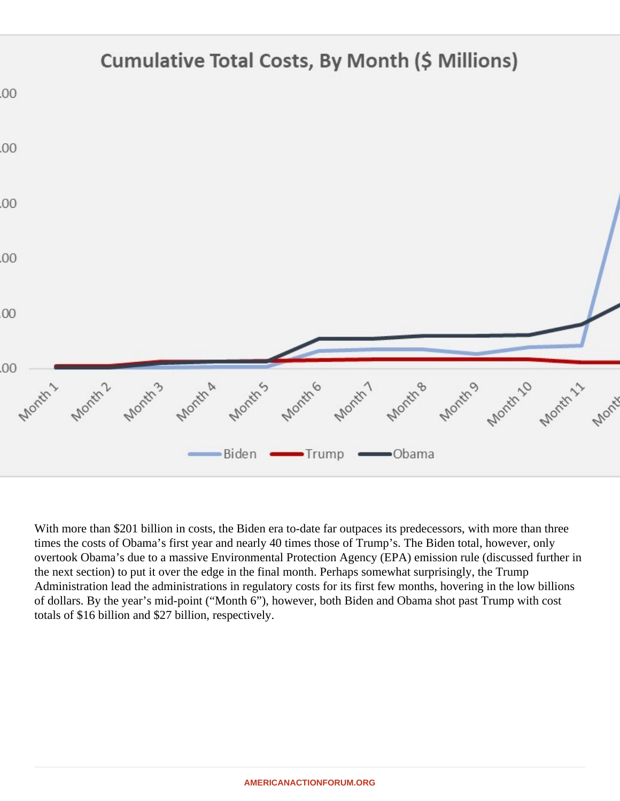With more than \$201 billion in costs, the Biden era to-date far outpaces its predecessors, with more than thre times the costs of Obama's first year and nearly 40 times those of Trump's. The Biden total, however, only overtook Obama's due to a massive Environmental Protection Agency (EPA) emission rule (discussed further the next section) to put it over the edge in the final month. Perhaps somewhat surprisingly, the Trump Administration lead the administrations in regulatory costs for its first few months, hovering in the low billions of dollars. By the year's mid-point ("Month 6"), however, both Biden and Obama shot past Trump with cost totals of \$16 billion and \$27 billion, respectively.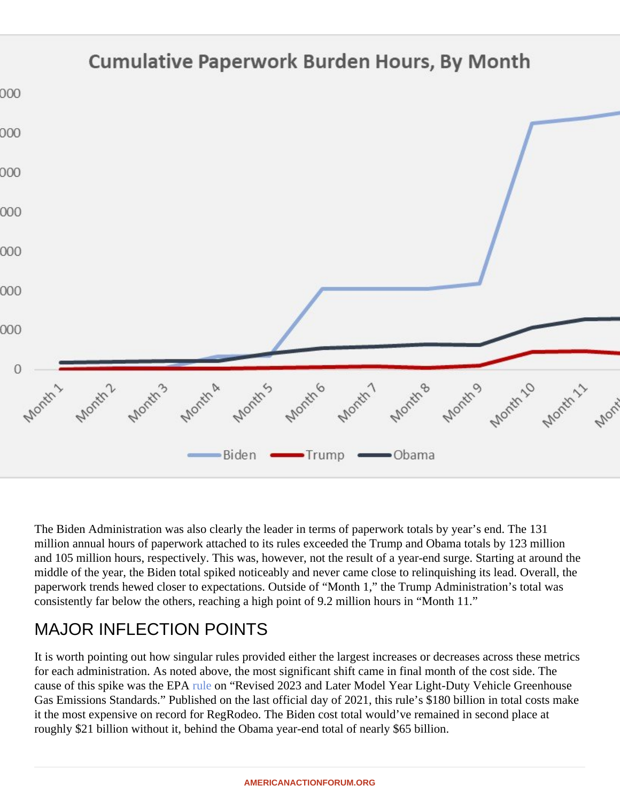The Biden Administration was also clearly the leader in terms of paperwork totals by year's end. The 131 million annual hours of paperwork attached to its rules exceeded the Trump and Obama totals by 123 million and 105 million hours, respectively. This was, however, not the result of a year-end surge. Starting at around middle of the year, the Biden total spiked noticeably and never came close to relinquishing its lead. Overall, the paperwork trends hewed closer to expectations. Outside of "Month 1," the Trump Administration's total was consistently far below the others, reaching a high point of 9.2 million hours in "Month 11."

# MAJOR INFLECTION POINTS

It is worth pointing out how singular rules provided either the largest increases or decreases across these me for each administration. As noted above, the most significant shift came in final month of the cost side. The cause of this spike was the EPAe on "Revised 2023 and Later Model Year Light-Duty Vehicle Greenhouse Gas Emissions Standards." Published on the last official day of 2021, this rule's \$180 billion in total costs mak it the most expensive on record for RegRodeo. The Biden cost total would've remained in second place at roughly \$21 billion without it, behind the Obama year-end total of nearly \$65 billion.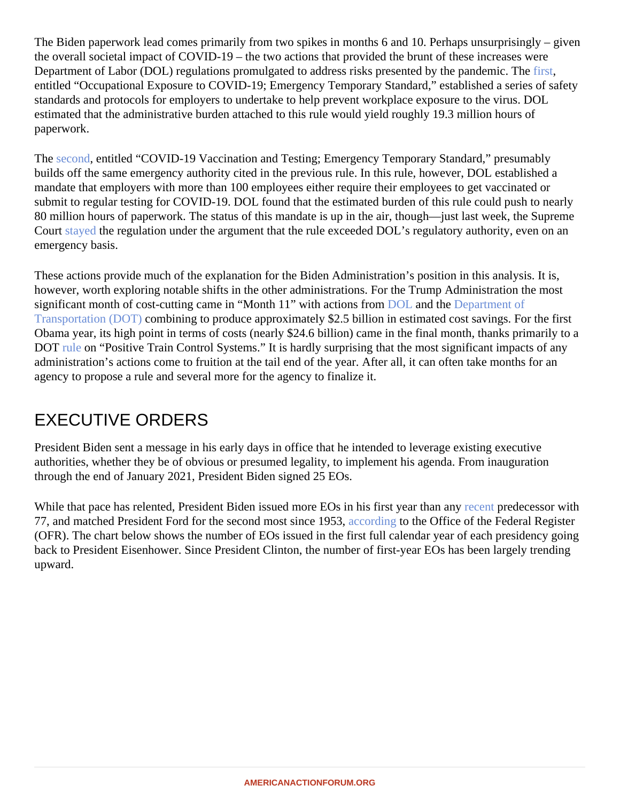The Biden paperwork lead comes primarily from two spikes in months 6 and 10. Perhaps unsurprisingly – given the overall societal impact of COVID-19 – the two actions that provided the brunt of these increases were Department of Labor (DOL) regulations promulgated to address risks presented by the pand[emic](�� h t t p s : / / b i t . l y / 3 I a B q W P). The entitled "Occupational Exposure to COVID-19; Emergency Temporary Standard," established a series of safe standards and protocols for employers to undertake to help prevent workplace exposure to the virus. DOL estimated that the administrative burden attached to this rule would yield roughly 19.3 million hours of paperwork.

The [second](�� h t t p s : / / b i t . l y / 3 A 0 X l w H), entitled "COVID-19 Vaccination and Testing; Emergency Temporary Standard," presumably builds off the same emergency authority cited in the previous rule. In this rule, however, DOL established a mandate that employers with more than 100 employees either require their employees to get vaccinated or submit to regular testing for COVID-19. DOL found that the estimated burden of this rule could push to nearly 80 million hours of paperwork. The status of this mandate is up in the air, though—just last week, the Suprem Court [stayed](�� h t t p s : / / w w w . n y t i m e s . c o m / 2 0 2 2 / 0 1 / 1 3 / u s / p o l i t i c s / s u p r e m e - c o u r t - b i d e n - v a c c i n e - m a n d a t e . h t m l) the regulation under the argument that the rule exceeded DOL's regulatory authority, even on an emergency basis.

These actions provide much of the explanation for the Biden Administration's position in this analysis. It is, however, worth exploring notable shifts in the other administrations. For the Trump Administration the most significant month of cost-cutting came in "Month 11" with actions from L and th[e Department o](�� h t t p s : / / b i t . l y / 3 G x P Z 6 d)f [Transportation \(DOT](�� h t t p s : / / b i t . l y / 3 G x P Z 6 d) combining to produce approximately \$2.5 billion in estimated cost savings. For the first Obama year, its high point in terms of costs (nearly \$24.6 billion) came in the final month, thanks primarily to a DOT [rule](�� h t t p s : / / b i t . l y / 3 f G H m L 3) on "Positive Train Control Systems." It is hardly surprising that the most significant impacts of any administration's actions come to fruition at the tail end of the year. After all, it can often take months for an agency to propose a rule and several more for the agency to finalize it.

### EXECUTIVE ORDERS

President Biden sent a message in his early days in office that he intended to leverage existing executive authorities, whether they be of obvious or presumed legality, to implement his agenda. From inauguration through the end of January 2021, President Biden signed 25 EOs.

While that pace has relented, President Biden issued more EOs in his first year [than a](�� h t t p s : / / w w w . f e d e r a l r e g i s t e r . g o v / p r e s i d e n t i a l - d o c u m e n t s / e x e c u t i v e - o r d e r s /)ny redecessor with 77, and matched President Ford for the second most since 1953, ling to the Office of the Federal Register (OFR). The chart below shows the number of EOs issued in the first full calendar year of each presidency going back to President Eisenhower. Since President Clinton, the number of first-year EOs has been largely trendin upward.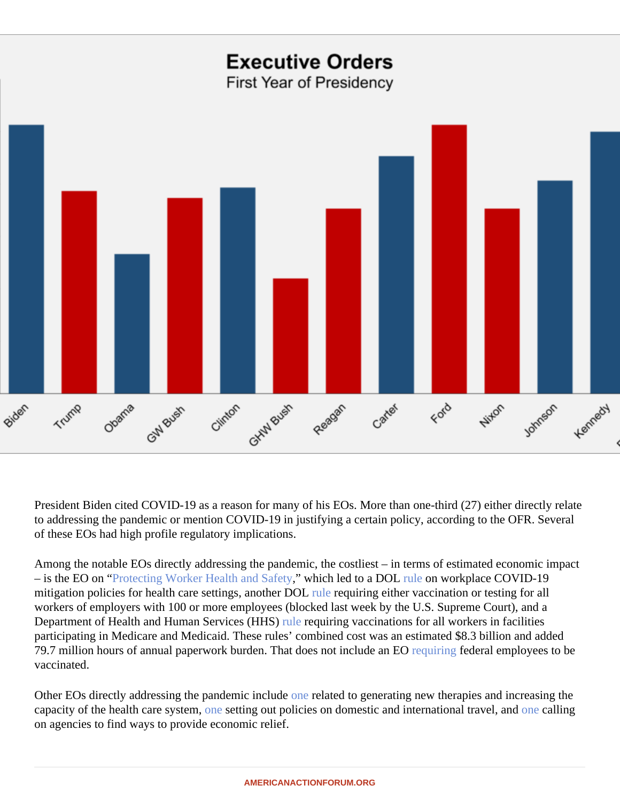President Biden cited COVID-19 as a reason for many of his EOs. More than one-third (27) either eliatetly to addressing the pandemic or mention COVID-19 in justifying a certain policy, according to the OFR. Several of these EOs had high profile regulatory implications.

Among the notable EOs directly addressing the pandemic, the costliest – in terms of estimated economic imp – is the EO on Protecting Worker Health and Safety hich led to a DO[L rule](�� h t t p s : / / b i t . l y / 3 g R W Z R 4) on workplace COVID-19 mitigation policies for health care settings, another [DOL](�� h t t p s : / / b i t . l y / 3 m L k s q 4) requiring either vaccination or testing for all workers of employers with 100 or more employees (blocked last week by the U.S. Supreme Court), and a Department of Health and Human Services (H[HS\)](�� h t t p s : / / b i t . l y / 3 1 p d J t w) requiring vaccinations for all workers in facilities participating in Medicare and Medicaid. These rules' combined cost was an estimated \$8.3 billion and added 79.7 million hours of annual paperwork burden. That does not include an EO ngfederal employees to be vaccinated.

Other EOs directly addressing the pandemic in[clude](�� h t t p s : / / w w w . f e d e r a l r e g i s t e r . g o v / d o c u m e n t s / 2 0 2 1 / 0 1 / 2 6 / 2 0 2 1 - 0 1 8 5 8 / i m p r o v i n g - a n d - e x p a n d i n g - a c c e s s - t o - c a r e - a n d - t r e a t m e n t s - f o r - c o v i d - 1 9) related to generating new therapies and increasing the capacity of the health care system esetting out policies on domestic and international travel pandalling on agencies to find ways to provide economic relief.